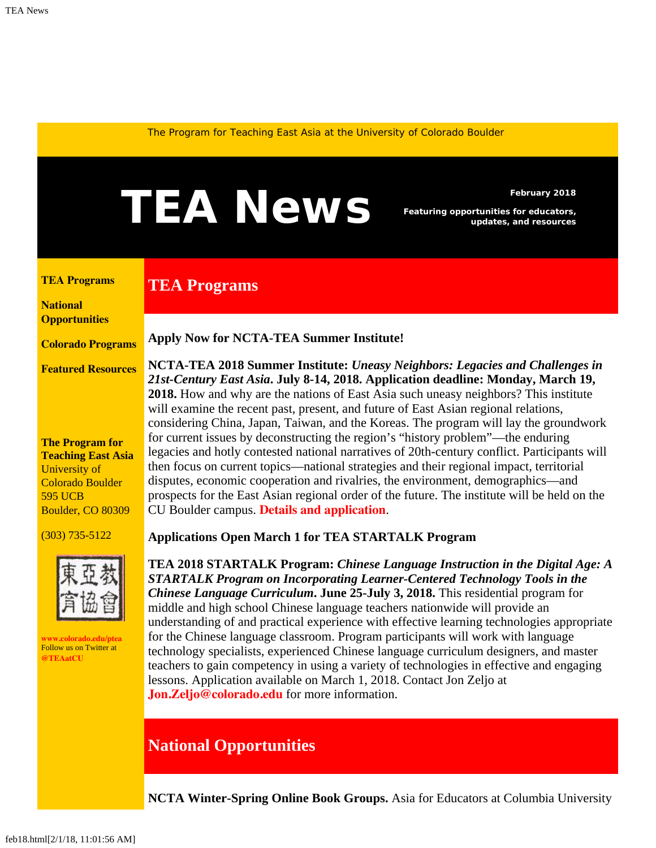<span id="page-0-1"></span>The Program for Teaching East Asia at the University of Colorado Boulder

# February 2018<br>**February 2018**<br>*Featuring opportunities for educators,*<br>*updates, and resources*

*Featuring opportunities for educators, updates, and resources*

<span id="page-0-0"></span>**[TEA Programs](#page-0-0)**

## **TEA Programs**

**[National](#page-0-1)  [Opportunities](#page-0-1)**

**[Colorado Programs](#page-0-1)**

**[Featured Resources](#page-3-0)**

#### **The Program for Teaching East Asia** University of Colorado Boulder 595 UCB Boulder, CO 80309

(303) 735-5122



**[www.colorado.edu/ptea](http://www.colorado.edu/cas/tea)** Follow us on Twitter at **[@TEAatCU](https://twitter.com/TEAatCU)**

**Apply Now for NCTA-TEA Summer Institute!**

**NCTA-TEA 2018 Summer Institute:** *Uneasy Neighbors: Legacies and Challenges in 21st-Century East Asia***. July 8-14, 2018. Application deadline: Monday, March 19, 2018.** How and why are the nations of East Asia such uneasy neighbors? This institute will examine the recent past, present, and future of East Asian regional relations, considering China, Japan, Taiwan, and the Koreas. The program will lay the groundwork for current issues by deconstructing the region's "history problem"—the enduring legacies and hotly contested national narratives of 20th-century conflict. Participants will then focus on current topics—national strategies and their regional impact, territorial disputes, economic cooperation and rivalries, the environment, demographics—and prospects for the East Asian regional order of the future. The institute will be held on the CU Boulder campus. **[Details and application](https://www.colorado.edu/ptea/sites/default/files/attached-files/east_asia_institute_2018_app.pdf)**.

### **Applications Open March 1 for TEA STARTALK Program**

**TEA 2018 STARTALK Program:** *Chinese Language Instruction in the Digital Age: A STARTALK Program on Incorporating Learner-Centered Technology Tools in the Chinese Language Curriculum***. June 25-July 3, 2018.** This residential program for middle and high school Chinese language teachers nationwide will provide an understanding of and practical experience with effective learning technologies appropriate for the Chinese language classroom. Program participants will work with language technology specialists, experienced Chinese language curriculum designers, and master teachers to gain competency in using a variety of technologies in effective and engaging lessons. Application available on March 1, 2018. Contact Jon Zeljo at **[Jon.Zeljo@colorado.edu](mailto:Jon.Zeljo@colorado.edu)** for more information.

## **National Opportunities**

**NCTA Winter-Spring Online Book Groups.** Asia for Educators at Columbia University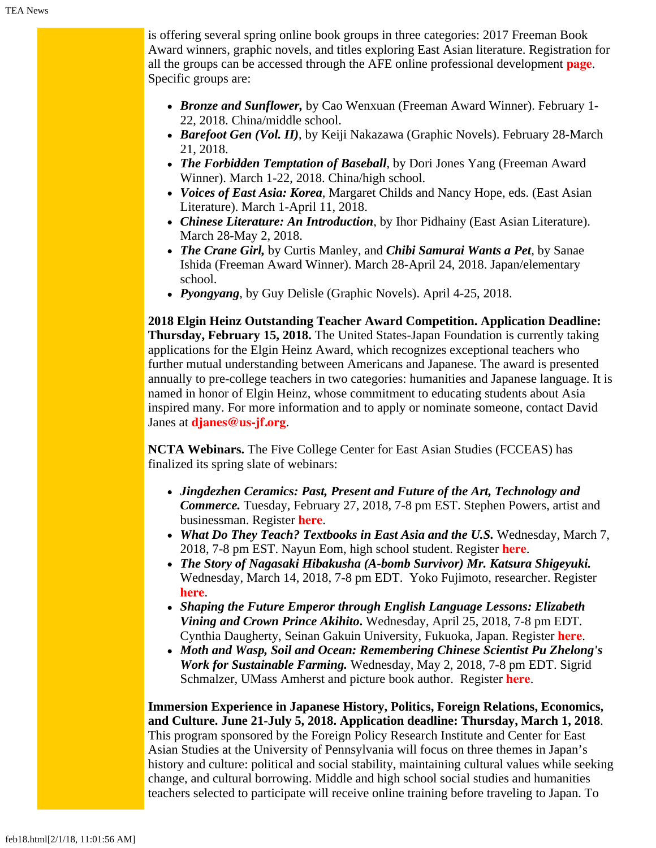is offering several spring online book groups in three categories: 2017 Freeman Book Award winners, graphic novels, and titles exploring East Asian literature. Registration for all the groups can be accessed through the AFE online professional development **[page](http://afe.easia.columbia.edu/online_course/)**. Specific groups are:

- *Bronze and Sunflower,* by Cao Wenxuan (Freeman Award Winner). February 1- 22, 2018. China/middle school.
- *Barefoot Gen (Vol. II)*, by Keiji Nakazawa (Graphic Novels). February 28-March 21, 2018.
- *The Forbidden Temptation of Baseball*, by Dori Jones Yang (Freeman Award Winner). March 1-22, 2018. China/high school.
- *Voices of East Asia: Korea*, Margaret Childs and Nancy Hope, eds. (East Asian Literature). March 1-April 11, 2018.
- *Chinese Literature: An Introduction*, by Ihor Pidhainy (East Asian Literature). March 28-May 2, 2018.
- *The Crane Girl,* by Curtis Manley, and *Chibi Samurai Wants a Pet*, by Sanae Ishida (Freeman Award Winner). March 28-April 24, 2018. Japan/elementary school.
- *Pyongyang*, by Guy Delisle (Graphic Novels). April 4-25, 2018.

**2018 Elgin Heinz Outstanding Teacher Award Competition. Application Deadline: Thursday, February 15, 2018.** The United States-Japan Foundation is currently taking applications for the Elgin Heinz Award, which recognizes exceptional teachers who further mutual understanding between Americans and Japanese. The award is presented annually to pre-college teachers in two categories: humanities and Japanese language. It is named in honor of Elgin Heinz, whose commitment to educating students about Asia inspired many. For more information and to apply or nominate someone, contact David Janes at **[djanes@us-jf.org](mailto:djanes@us-jf.org)**.

**NCTA Webinars.** The Five College Center for East Asian Studies (FCCEAS) has finalized its spring slate of webinars:

- *Jingdezhen Ceramics: Past, Present and Future of the Art, Technology and Commerce.* Tuesday, February 27, 2018, 7-8 pm EST. Stephen Powers, artist and businessman. Register **[here](https://register.gotowebinar.com/register/108869630824123393?utm_source=Jan.+29%2C+2018&utm_campaign=FCCEAS+e-bulletin&utm_medium=email)**.
- *What Do They Teach? Textbooks in East Asia and the U.S.* Wednesday, March 7, 2018, 7-8 pm EST. Nayun Eom, high school student. Register **[here](https://register.gotowebinar.com/register/3002316942685918979)**.
- *The Story of Nagasaki Hibakusha (A-bomb Survivor) Mr. Katsura Shigeyuki.* Wednesday, March 14, 2018, 7-8 pm EDT. Yoko Fujimoto, researcher. Register **[here](https://attendee.gotowebinar.com/register/6601924498665750019)**.
- *Shaping the Future Emperor through English Language Lessons: Elizabeth Vining and Crown Prince Akihito***.** Wednesday, April 25, 2018, 7-8 pm EDT. Cynthia Daugherty, Seinan Gakuin University, Fukuoka, Japan. Register **[here](https://attendee.gotowebinar.com/register/6452279866613730819)**.
- *Moth and Wasp, Soil and Ocean: Remembering Chinese Scientist Pu Zhelong's Work for Sustainable Farming.* Wednesday, May 2, 2018, 7-8 pm EDT. Sigrid Schmalzer, UMass Amherst and picture book author. Register **[here](https://attendee.gotowebinar.com/register/1637737251396678659)**.

**Immersion Experience in Japanese History, Politics, Foreign Relations, Economics, and Culture. June 21-July 5, 2018. Application deadline: Thursday, March 1, 2018**. This program sponsored by the Foreign Policy Research Institute and Center for East Asian Studies at the University of Pennsylvania will focus on three themes in Japan's history and culture: political and social stability, maintaining cultural values while seeking change, and cultural borrowing. Middle and high school social studies and humanities teachers selected to participate will receive online training before traveling to Japan. To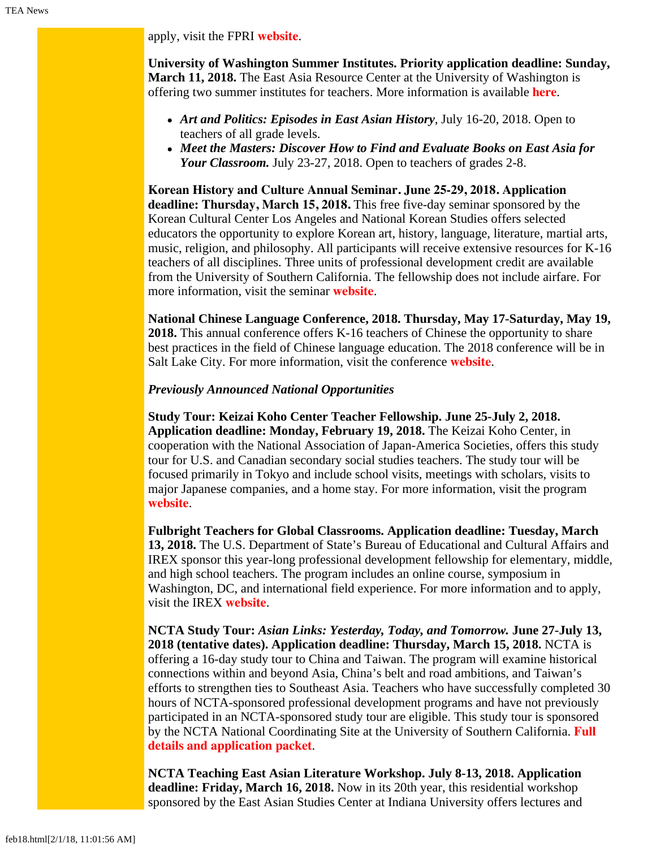apply, visit the FPRI **[website](https://www.fpri.org/education/announcing-2018-fpri-ceas-study-trip-japan-high-school-teachers/)**.

**University of Washington Summer Institutes. Priority application deadline: Sunday, March 11, 2018.** The East Asia Resource Center at the University of Washington is offering two summer institutes for teachers. More information is available **[here](https://jsis.washington.edu/earc/category/programs/summer-institutes/)**.

- *Art and Politics: Episodes in East Asian History*, July 16-20, 2018. Open to teachers of all grade levels.
- *Meet the Masters: Discover How to Find and Evaluate Books on East Asia for Your Classroom.* July 23-27, 2018. Open to teachers of grades 2-8.

**Korean History and Culture Annual Seminar. June 25-29, 2018. Application deadline: Thursday, March 15, 2018.** This free five-day seminar sponsored by the Korean Cultural Center Los Angeles and National Korean Studies offers selected educators the opportunity to explore Korean art, history, language, literature, martial arts, music, religion, and philosophy. All participants will receive extensive resources for K-16 teachers of all disciplines. Three units of professional development credit are available from the University of Southern California. The fellowship does not include airfare. For more information, visit the seminar **[website](https://nationalkoreanstudies.com/)**.

**National Chinese Language Conference, 2018. Thursday, May 17-Saturday, May 19, 2018.** This annual conference offers K-16 teachers of Chinese the opportunity to share best practices in the field of Chinese language education. The 2018 conference will be in Salt Lake City. For more information, visit the conference **[website](https://asiasociety.org/national-chinese-language-conference)**.

### *Previously Announced National Opportunities*

**Study Tour: Keizai Koho Center Teacher Fellowship. June 25-July 2, 2018. Application deadline: Monday, February 19, 2018.** The Keizai Koho Center, in cooperation with the National Association of Japan-America Societies, offers this study tour for U.S. and Canadian secondary social studies teachers. The study tour will be focused primarily in Tokyo and include school visits, meetings with scholars, visits to major Japanese companies, and a home stay. For more information, visit the program **[website](http://www.us-japan.org/programs/kkc/k2018/index.html)**.

**Fulbright Teachers for Global Classrooms. Application deadline: Tuesday, March 13, 2018.** The U.S. Department of State's Bureau of Educational and Cultural Affairs and IREX sponsor this year-long professional development fellowship for elementary, middle, and high school teachers. The program includes an online course, symposium in Washington, DC, and international field experience. For more information and to apply, visit the IREX **[website](https://www.irex.org/project/teachers-global-classrooms-program-tgc)**.

**NCTA Study Tour:** *Asian Links: Yesterday, Today, and Tomorrow.* **June 27-July 13, 2018 (tentative dates). Application deadline: Thursday, March 15, 2018.** NCTA is offering a 16-day study tour to China and Taiwan. The program will examine historical connections within and beyond Asia, China's belt and road ambitions, and Taiwan's efforts to strengthen ties to Southeast Asia. Teachers who have successfully completed 30 hours of NCTA-sponsored professional development programs and have not previously participated in an NCTA-sponsored study tour are eligible. This study tour is sponsored by the NCTA National Coordinating Site at the University of Southern California. **[Full](http://china.usc.edu/seminars/2018-ncta-summer-study-tour-china-and-taiwan) [details and application packet](http://china.usc.edu/seminars/2018-ncta-summer-study-tour-china-and-taiwan)**.

**NCTA Teaching East Asian Literature Workshop. July 8-13, 2018. Application deadline: Friday, March 16, 2018.** Now in its 20th year, this residential workshop sponsored by the East Asian Studies Center at Indiana University offers lectures and